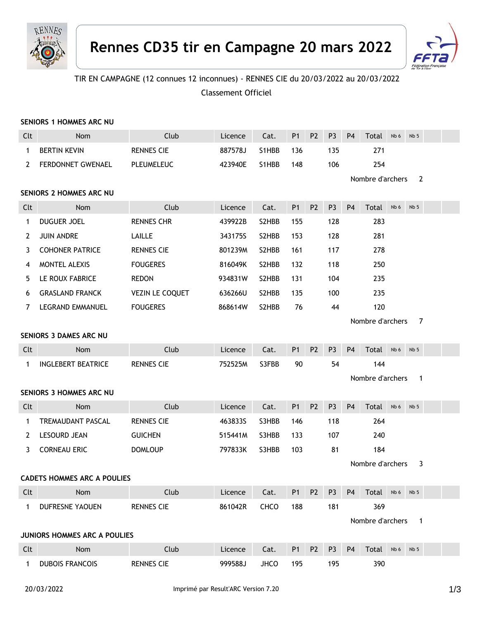



## TIR EN CAMPAGNE (12 connues 12 inconnues) - RENNES CIE du 20/03/2022 au 20/03/2022

Classement Officiel

| SENIORS 1 HOMMES ARC NU            |                           |                       |         |       |                |                |                |                                    |                  |      |                 |  |  |
|------------------------------------|---------------------------|-----------------------|---------|-------|----------------|----------------|----------------|------------------------------------|------------------|------|-----------------|--|--|
| Clt                                | Nom                       | Club                  | Licence | Cat.  | P <sub>1</sub> | P <sub>2</sub> | P <sub>3</sub> | <b>P4</b>                          | Total            | Nb 6 | Nb <sub>5</sub> |  |  |
| 1                                  | <b>BERTIN KEVIN</b>       | <b>RENNES CIE</b>     | 887578J | S1HBB | 136            |                | 135            |                                    | 271              |      |                 |  |  |
| 2                                  | FERDONNET GWENAEL         | PLEUMELEUC            | 423940E | S1HBB | 148            |                | 106            |                                    | 254              |      |                 |  |  |
|                                    |                           |                       |         |       |                |                |                |                                    | Nombre d'archers |      | 2               |  |  |
| SENIORS 2 HOMMES ARC NU            |                           |                       |         |       |                |                |                |                                    |                  |      |                 |  |  |
| Clt                                | Nom                       | Club                  | Licence | Cat.  | P <sub>1</sub> | P <sub>2</sub> | P <sub>3</sub> | <b>P4</b>                          | Total            | Nb 6 | Nb <sub>5</sub> |  |  |
| $\mathbf{1}$                       | DUGUER JOEL               | <b>RENNES CHR</b>     | 439922B | S2HBB | 155            |                | 128            |                                    | 283              |      |                 |  |  |
| 2                                  | <b>JUIN ANDRE</b>         | LAILLE                | 343175S | S2HBB | 153            |                | 128            |                                    | 281              |      |                 |  |  |
| 3                                  | <b>COHONER PATRICE</b>    | <b>RENNES CIE</b>     | 801239M | S2HBB | 161            |                | 117            |                                    | 278              |      |                 |  |  |
| 4                                  | MONTEL ALEXIS             | <b>FOUGERES</b>       | 816049K | S2HBB | 132            |                | 118            |                                    | 250              |      |                 |  |  |
| 5                                  | LE ROUX FABRICE           | REDON                 | 934831W | S2HBB | 131            |                | 104            |                                    | 235              |      |                 |  |  |
| 6                                  | <b>GRASLAND FRANCK</b>    | VEZIN LE COQUET       | 636266U | S2HBB | 135            |                | 100            |                                    | 235              |      |                 |  |  |
| 7                                  | LEGRAND EMMANUEL          | <b>FOUGERES</b>       | 868614W | S2HBB | 76             |                | 44             |                                    | 120              |      |                 |  |  |
|                                    |                           | Nombre d'archers<br>7 |         |       |                |                |                |                                    |                  |      |                 |  |  |
| <b>SENIORS 3 DAMES ARC NU</b>      |                           |                       |         |       |                |                |                |                                    |                  |      |                 |  |  |
| Clt                                | <b>Nom</b>                | Club                  | Licence | Cat.  | P <sub>1</sub> | <b>P2</b>      | P <sub>3</sub> | P <sub>4</sub>                     | Total            | Nb 6 | Nb <sub>5</sub> |  |  |
| $\mathbf{1}$                       | <b>INGLEBERT BEATRICE</b> | <b>RENNES CIE</b>     | 752525M | S3FBB | 90             |                | 54             |                                    | 144              |      |                 |  |  |
|                                    |                           |                       |         |       |                |                |                | Nombre d'archers<br>$\overline{1}$ |                  |      |                 |  |  |
|                                    | SENIORS 3 HOMMES ARC NU   |                       |         |       |                |                |                |                                    |                  |      |                 |  |  |
| Clt                                | Nom                       | Club                  | Licence | Cat.  | <b>P1</b>      | P <sub>2</sub> | P <sub>3</sub> | <b>P4</b>                          | <b>Total</b>     | Nb 6 | Nb <sub>5</sub> |  |  |
| 1                                  | TREMAUDANT PASCAL         | <b>RENNES CIE</b>     | 4638335 | S3HBB | 146            |                | 118            |                                    | 264              |      |                 |  |  |
| 2                                  | <b>LESOURD JEAN</b>       | <b>GUICHEN</b>        | 515441M | S3HBB | 133            |                | 107            |                                    | 240              |      |                 |  |  |
| 3                                  | <b>CORNEAU ERIC</b>       | <b>DOMLOUP</b>        | 797833K | S3HBB | 103            |                | 81             |                                    | 184              |      |                 |  |  |
|                                    | Nombre d'archers<br>3     |                       |         |       |                |                |                |                                    |                  |      |                 |  |  |
| <b>CADETS HOMMES ARC A POULIES</b> |                           |                       |         |       |                |                |                |                                    |                  |      |                 |  |  |
| Clt                                | Nom                       | Club                  | Licence | Cat.  | P <sub>1</sub> | P <sub>2</sub> | P <sub>3</sub> | <b>P4</b>                          | Total Nb6 Nb5    |      |                 |  |  |
| 1                                  | DUFRESNE YAOUEN           | <b>RENNES CIE</b>     | 861042R | CHCO  | 188            |                | 181            |                                    | 369              |      |                 |  |  |
|                                    |                           |                       |         |       |                |                |                |                                    | Nombre d'archers |      | $\mathbf{1}$    |  |  |
| JUNIORS HOMMES ARC A POULIES       |                           |                       |         |       |                |                |                |                                    |                  |      |                 |  |  |
| Clt                                | Nom                       | Club                  | Licence | Cat.  | P <sub>1</sub> | P <sub>2</sub> | P <sub>3</sub> | P <sub>4</sub>                     | Total            | Nb 6 | Nb <sub>5</sub> |  |  |
| 1                                  | <b>DUBOIS FRANCOIS</b>    | RENNES CIE            | 999588J | JHCO  | 195            |                | 195            |                                    | 390              |      |                 |  |  |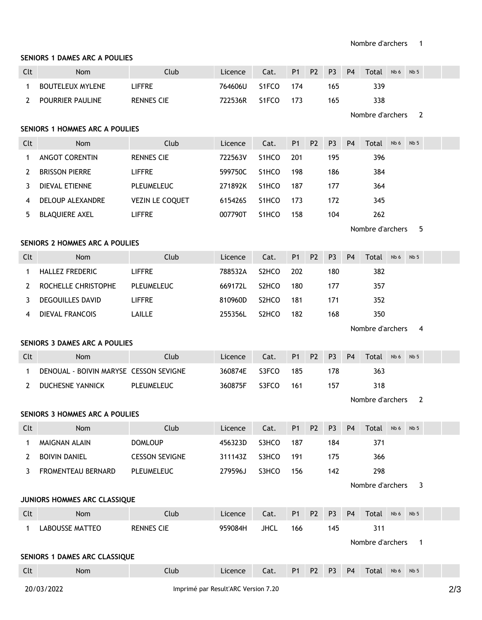## **SENIORS 1 DAMES ARC A POULIES**

| Clt                                   | Nom                                    | Club                   | Licence | Cat.               | P <sub>1</sub> | P <sub>2</sub> | P <sub>3</sub> | P <sub>4</sub>        | Total            | Nb 6 | Nb <sub>5</sub> |  |  |
|---------------------------------------|----------------------------------------|------------------------|---------|--------------------|----------------|----------------|----------------|-----------------------|------------------|------|-----------------|--|--|
| 1                                     | <b>BOUTELEUX MYLENE</b>                | <b>LIFFRE</b>          | 764606U | S1FCO              | 174            |                | 165            |                       | 339              |      |                 |  |  |
| $\mathbf{2}^{\prime}$                 | POURRIER PAULINE                       | <b>RENNES CIE</b>      | 722536R | S1FCO              | 173            |                | 165            |                       | 338              |      |                 |  |  |
|                                       |                                        |                        |         |                    |                |                |                |                       | Nombre d'archers |      | 2               |  |  |
| <b>SENIORS 1 HOMMES ARC A POULIES</b> |                                        |                        |         |                    |                |                |                |                       |                  |      |                 |  |  |
| Clt                                   | Nom                                    | Club                   | Licence | Cat.               | P <sub>1</sub> | P <sub>2</sub> | P <sub>3</sub> | <b>P4</b>             | Total            | Nb 6 | Nb <sub>5</sub> |  |  |
| 1                                     | <b>ANGOT CORENTIN</b>                  | <b>RENNES CIE</b>      | 722563V | S1HCO              | 201            |                | 195            |                       | 396              |      |                 |  |  |
| 2                                     | <b>BRISSON PIERRE</b>                  | <b>LIFFRE</b>          | 599750C | S1HCO              | 198            |                | 186            |                       | 384              |      |                 |  |  |
| 3                                     | DIEVAL ETIENNE                         | PLEUMELEUC             | 271892K | S1HCO              | 187            |                | 177            |                       | 364              |      |                 |  |  |
| 4                                     | DELOUP ALEXANDRE                       | <b>VEZIN LE COQUET</b> | 615426S | S1HCO              | 173            |                | 172            |                       | 345              |      |                 |  |  |
| 5                                     | <b>BLAQUIERE AXEL</b>                  | <b>LIFFRE</b>          | 007790T | S1HCO              | 158            |                | 104            |                       | 262              |      |                 |  |  |
|                                       |                                        |                        |         |                    |                |                |                | Nombre d'archers<br>5 |                  |      |                 |  |  |
| SENIORS 2 HOMMES ARC A POULIES        |                                        |                        |         |                    |                |                |                |                       |                  |      |                 |  |  |
| Clt                                   | Nom                                    | Club                   | Licence | Cat.               | <b>P1</b>      | P <sub>2</sub> | P <sub>3</sub> | P <sub>4</sub>        | Total            | Nb 6 | Nb <sub>5</sub> |  |  |
| 1                                     | <b>HALLEZ FREDERIC</b>                 | <b>LIFFRE</b>          | 788532A | S <sub>2</sub> HCO | 202            |                | 180            |                       | 382              |      |                 |  |  |
| 2                                     | ROCHELLE CHRISTOPHE                    | PLEUMELEUC             | 669172L | S2HCO              | 180            |                | 177            |                       | 357              |      |                 |  |  |
| 3                                     | <b>DEGOUILLES DAVID</b>                | <b>LIFFRE</b>          | 810960D | S2HCO              | 181            |                | 171            |                       | 352              |      |                 |  |  |
| 4                                     | <b>DIEVAL FRANCOIS</b>                 | LAILLE                 | 255356L | S <sub>2</sub> HCO | 182            |                | 168            |                       | 350              |      |                 |  |  |
|                                       |                                        |                        |         |                    |                |                |                |                       | Nombre d'archers |      | 4               |  |  |
| SENIORS 3 DAMES ARC A POULIES         |                                        |                        |         |                    |                |                |                |                       |                  |      |                 |  |  |
|                                       |                                        |                        |         |                    |                |                |                |                       |                  |      |                 |  |  |
| Clt                                   | Nom                                    | Club                   | Licence | Cat.               | P <sub>1</sub> | P <sub>2</sub> | P <sub>3</sub> | <b>P4</b>             | Total            | Nb 6 | Nb <sub>5</sub> |  |  |
| $\mathbf 1$                           | DENOUAL - BOIVIN MARYSE CESSON SEVIGNE |                        | 360874E | S3FCO              | 185            |                | 178            |                       | 363              |      |                 |  |  |
| $\mathbf{2}^{\prime}$                 | DUCHESNE YANNICK                       | PLEUMELEUC             | 360875F | S3FCO              | 161            |                | 157            |                       | 318              |      |                 |  |  |
|                                       |                                        |                        |         |                    |                |                |                |                       | Nombre d'archers |      | $\overline{2}$  |  |  |
|                                       | <b>SENIORS 3 HOMMES ARC A POULIES</b>  |                        |         |                    |                |                |                |                       |                  |      |                 |  |  |
| Clt                                   | <b>Nom</b>                             | Club                   | Licence | Cat.               | P1 P2          |                | P <sub>3</sub> | <b>P4</b>             | Total Nb6 Nb5    |      |                 |  |  |
| $\mathbf{1}$                          | MAIGNAN ALAIN                          | <b>DOMLOUP</b>         | 456323D | S3HCO              | 187            |                | 184            |                       | 371              |      |                 |  |  |
| 2                                     | <b>BOIVIN DANIEL</b>                   | <b>CESSON SEVIGNE</b>  | 311143Z | S3HCO              | 191            |                | 175            |                       | 366              |      |                 |  |  |
| 3                                     | FROMENTEAU BERNARD                     | PLEUMELEUC             | 279596J | S3HCO              | 156            |                | 142            |                       | 298              |      |                 |  |  |
|                                       |                                        |                        |         |                    |                |                |                |                       | Nombre d'archers |      | 3               |  |  |
|                                       | JUNIORS HOMMES ARC CLASSIQUE           |                        |         |                    |                |                |                |                       |                  |      |                 |  |  |
| Clt                                   | Nom                                    | Club                   | Licence | Cat.               | P1             | P <sub>2</sub> | P <sub>3</sub> | <b>P4</b>             | Total Nb6 Nb5    |      |                 |  |  |
| $\mathbf{1}$                          | <b>LABOUSSE MATTEO</b>                 | <b>RENNES CIE</b>      | 959084H | <b>JHCL</b>        | 166            |                | 145            |                       | 311              |      |                 |  |  |
|                                       |                                        |                        |         |                    |                |                |                |                       | Nombre d'archers |      | $\mathbf{1}$    |  |  |
|                                       | SENIORS 1 DAMES ARC CLASSIQUE          |                        |         |                    |                |                |                |                       |                  |      |                 |  |  |